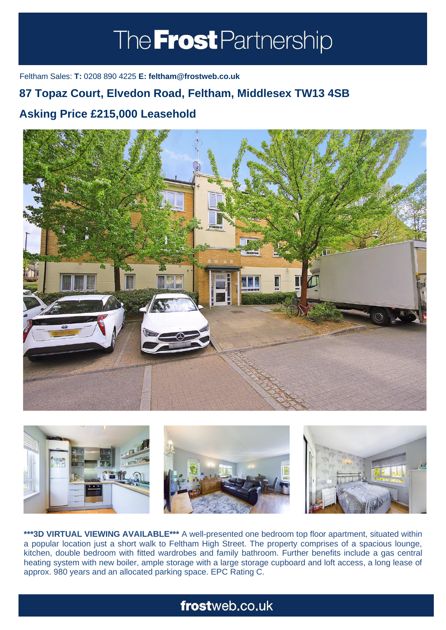# The **Frost** Partnership

Feltham Sales: **T:** 0208 890 4225 **E: feltham@frostweb.co.uk**

### **87 Topaz Court, Elvedon Road, Feltham, Middlesex TW13 4SB**

### **Asking Price £215,000 Leasehold (Property.Lettings.RentQual == "PA" ? "Rent on application" :**





**\*\*\*3D VIRTUAL VIEWING AVAILABLE\*\*\*** A well-presented one bedroom top floor apartment, situated within a popular location just a short walk to Feltham High Street. The property comprises of a spacious lounge, kitchen, double bedroom with fitted wardrobes and family bathroom. Further benefits include a gas central heating system with new boiler, ample storage with a large storage cupboard and loft access, a long lease of approx. 980 years and an allocated parking space. EPC Rating C.

## frostweb.co.uk